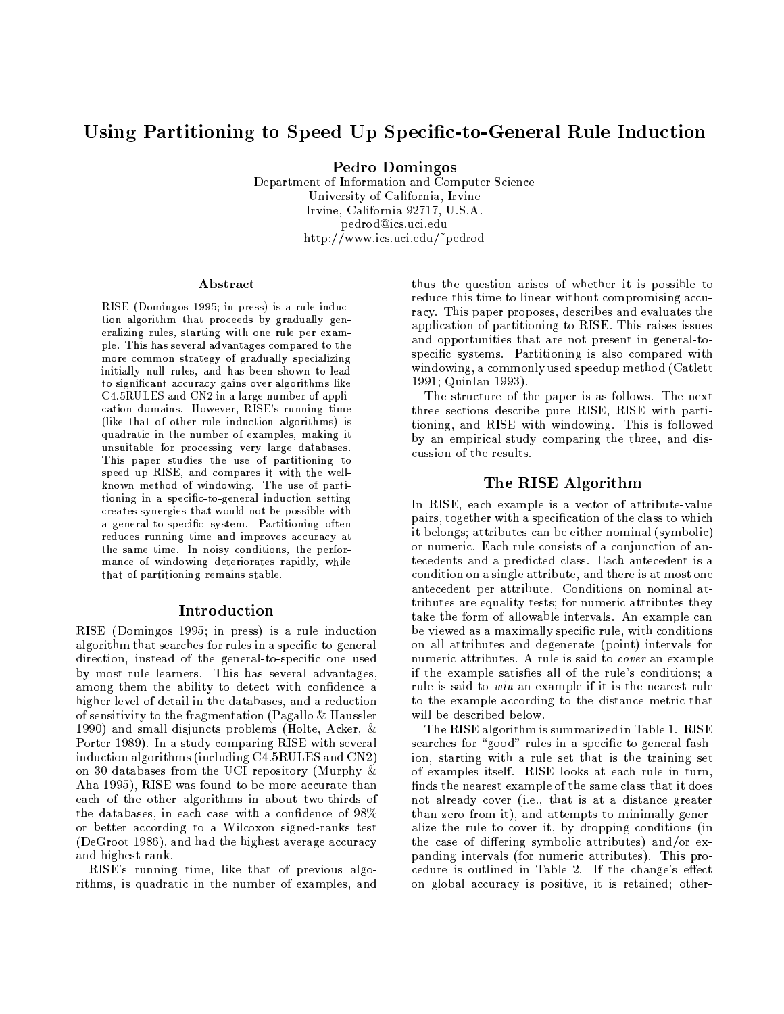# Using Partitioning to Speed Up Specific-to-General Rule Induction

Pedro Domingos

Department of Information and Computer Science University of California, Irvine Irvine, California 92717, U.S.A. pedrod@ics.uci.edu http://www.ics.uci.edu/~pedrod

#### Abstract

RISE (Domingos 1995; in press) is a rule induction algorithm that proceeds by gradually generalizing rules, starting with one rule per example. This has several advantages compared to the more common strategy of gradually specializing initially null rules, and has been shown to lead to significant accuracy gains over algorithms like C4.5RULES and CN2 in a large number of application domains. However, RISE's running time (like that of other rule induction algorithms) is quadratic in the number of examples, making it unsuitable for processing very large databases. This paper studies the use of partitioning to speed up RISE, and compares it with the wellknown method of windowing. The use of partitioning in a specific-to-general induction setting creates synergies that would not be possible with a general-to-specific system. Partitioning often reduces running time and improves accuracy at the same time. In noisy conditions, the performance of windowing deteriorates rapidly, while that of partitioning remains stable.

#### Introduction

RISE (Domingos 1995; in press) is a rule induction algorithm that searches for rules in a specific-to-general direction, instead of the general-to-specific one used by most rule learners. This has several advantages, among them the ability to detect with confidence a higher level of detail in the databases, and a reduction of sensitivity to the fragmentation (Pagallo  $\&$  Haussler 1990) and small disjuncts problems (Holte, Acker,  $\&$ Porter 1989). In a study comparing RISE with several induction algorithms (including C4.5RULES and CN2) on 30 databases from the UCI repository (Murphy & Aha 1995), RISE was found to be more accurate than each of the other algorithms in about two-thirds of the databases, in each case with a confidence of 98% or better according to a Wilcoxon signed-ranks test (DeGroot 1986), and had the highest average accuracy and highest rank.

RISE's running time, like that of previous algorithms, is quadratic in the number of examples, and

thus the question arises of whether it is possible to reduce this time to linear without compromising accuracy. This paper proposes, describes and evaluates the application of partitioning to RISE. This raises issues and opportunities that are not present in general-tospecific systems. Partitioning is also compared with windowing, a commonly used speedup method (Catlett 1991; Quinlan 1993).

The structure of the paper is as follows. The next three sections describe pure RISE, RISE with partitioning, and RISE with windowing. This is followed by an empirical study comparing the three, and discussion of the results.

## The RISE Algorithm

In RISE, each example is a vector of attribute-value pairs, together with a specification of the class to which it belongs; attributes can be either nominal (symbolic) or numeric. Each rule consists of a conjunction of antecedents and a predicted class. Each antecedent is a condition on a single attribute, and there is at most one antecedent per attribute. Conditions on nominal attributes are equality tests; for numeric attributes they take the form of allowable intervals. An example can be viewed as a maximally specific rule, with conditions on all attributes and degenerate (point) intervals for numeric attributes. A rule is said to *cover* an example if the example satisfies all of the rule's conditions: a rule is said to win an example if it is the nearest rule to the example according to the distance metric that will be described below.

The RISE algorithm is summarized in Table 1. RISE searches for "good" rules in a specific-to-general fashion, starting with a rule set that is the training set of examples itself. RISE looks at each rule in turn, finds the nearest example of the same class that it does not already cover (i.e., that is at a distance greater than zero from it), and attempts to minimally generalize the rule to cover it, by dropping conditions (in the case of differing symbolic attributes) and/or expanding intervals (for numeric attributes). This procedure is outlined in Table 2. If the change's effect on global accuracy is positive, it is retained; other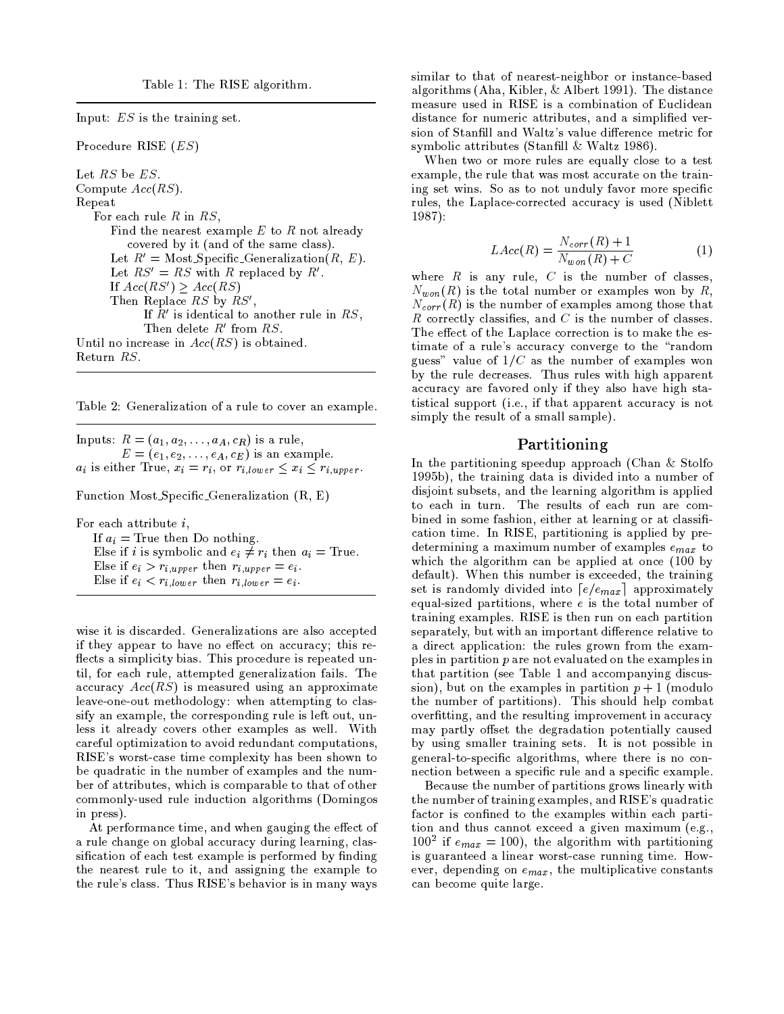Input:  $ES$  is the training set.

Procedure RISE  $(ES)$ 

Let RS be ES. Compute  $Acc(RS)$ . Repeat For each rule  $R$  in  $RS$ , Find the nearest example  $E$  to  $R$  not already covered by it (and of the same class). Let  $R' = \text{Most Specific\_Generalization}(R, E)$ . Let  $RS' = RS$  with R replaced by R'. If  $Acc(RS') \geq Acc(RS)$ Then Replace RS by RS', If  $R'$  is identical to another rule in  $RS$ , Then delete  $R'$  from  $RS$ . Until no increase in  $Acc(RS)$  is obtained. Return RS.

Table 2: Generalization of a rule to cover an example.

Inputs:  $R = (a_1, a_2, \ldots, a_A, c_R)$  is a rule,  $E = (e_1, e_2, \ldots, e_A, c_E)$  is an example.  $a_i$  is either True,  $x_i = r_i$ , or  $r_{i, lower} \leq x_i \leq r_{i,upper}$ .

Function Most\_Specific\_Generalization (R, E)

For each attribute  $i$ ,

If  $a_i$  = True then Do nothing. Else if *i* is symbolic and  $e_i \neq r_i$  then  $a_i$  = True. Else if  $e_i > r_{i,upper}$  then  $r_{i,upper} = e_i$ . Else if  $e_i < r_{i,low\,er}$  then  $r_{i,low\,er} = e_i$ .

wise it is discarded. Generalizations are also accepted if they appear to have no effect on accuracy; this reflects a simplicity bias. This procedure is repeated until, for each rule, attempted generalization fails. The accuracy  $Acc(RS)$  is measured using an approximate leave-one-out methodology: when attempting to classify an example, the corresponding rule is left out, unless it already covers other examples as well. With careful optimization to avoid redundant computations, RISE's worst-case time complexity has been shown to be quadratic in the number of examples and the number of attributes, which is comparable to that of other commonly-used rule induction algorithms (Domingos in press).

At performance time, and when gauging the effect of a rule change on global accuracy during learning, classification of each test example is performed by finding the nearest rule to it, and assigning the example to the rule's class. Thus RISE's behavior is in many ways

similar to that of nearest-neighbor or instance-based algorithms (Aha, Kibler, & Albert 1991). The distance measure used in RISE is a combination of Euclidean distance for numeric attributes, and a simplified version of Stanfill and Waltz's value difference metric for symbolic attributes (Stanfill & Waltz 1986).

When two or more rules are equally close to a test example, the rule that was most accurate on the training set wins. So as to not unduly favor more specific rules, the Laplace-corrected accuracy is used (Niblett  $1987$ :

$$
LAcc(R) = \frac{N_{corr}(R) + 1}{N_{won}(R) + C}
$$
 (1)

where  $R$  is any rule,  $C$  is the number of classes,  $N_{won}(R)$  is the total number or examples won by R,  $N_{\it corr}(\tilde{R})$  is the number of examples among those that R correctly classifies, and  $C$  is the number of classes. The effect of the Laplace correction is to make the estimate of a rule's accuracy converge to the "random guess" value of  $1/C$  as the number of examples won by the rule decreases. Thus rules with high apparent accuracy are favored only if they also have high statistical support (i.e., if that apparent accuracy is not simply the result of a small sample).

# Partitioning

In the partitioning speedup approach (Chan  $&$  Stolfo 1995b), the training data is divided into a number of disjoint subsets, and the learning algorithm is applied to each in turn. The results of each run are combined in some fashion, either at learning or at classification time. In RISE, partitioning is applied by predetermining a maximum number of examples  $e_{max}$  to which the algorithm can be applied at once (100 by default). When this number is exceeded, the training set is randomly divided into  $\lceil e/e_{max} \rceil$  approximately equal-sized partitions, where  $e$  is the total number of training examples. RISE is then run on each partition separately, but with an important difference relative to a direct application: the rules grown from the examples in partition  $p$  are not evaluated on the examples in that partition (see Table 1 and accompanying discussion), but on the examples in partition  $p + 1$  (modulo the number of partitions). This should help combat overfitting, and the resulting improvement in accuracy may partly offset the degradation potentially caused by using smaller training sets. It is not possible in general-to-specific algorithms, where there is no connection between a specific rule and a specific example.

Because the number of partitions grows linearly with the number of training examples, and RISE's quadratic factor is confined to the examples within each partition and thus cannot exceed a given maximum (e.g.,  $100^2$  if  $e_{max} = 100$ , the algorithm with partitioning is guaranteed a linear worst-case running time. However, depending on  $e_{max}$ , the multiplicative constants can become quite large.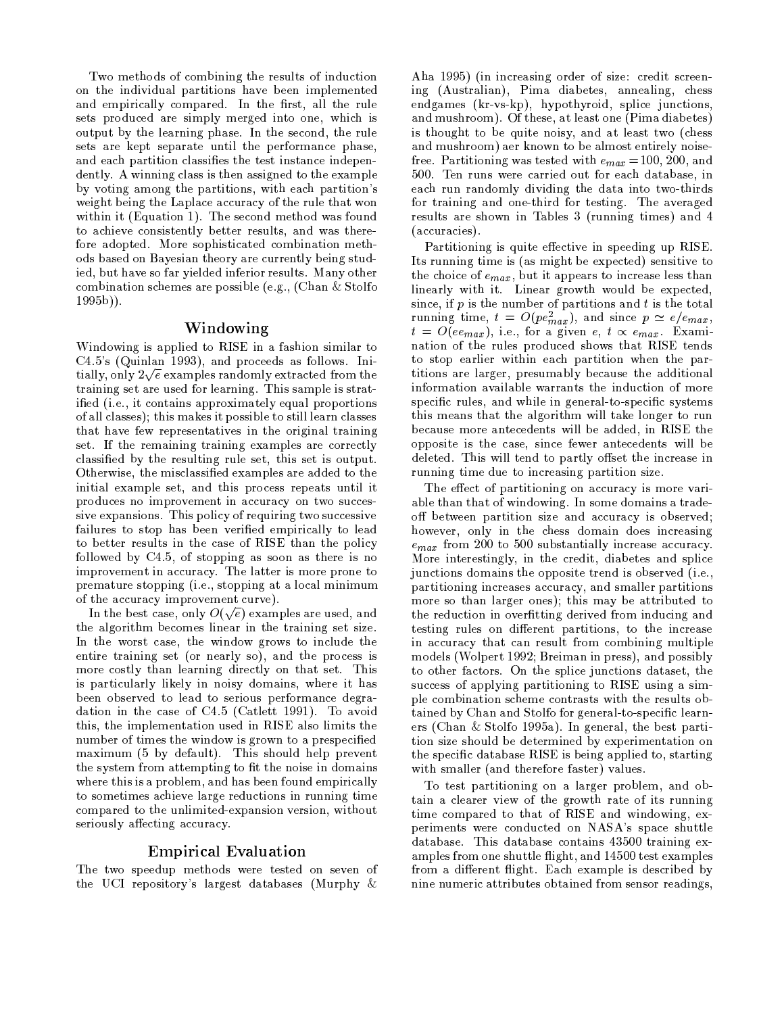Two methods of combining the results of induction on the individual partitions have been implemented and empirically compared. In the first, all the rule sets produced are simply merged into one, which is output by the learning phase. In the second, the rule sets are kept separate until the performance phase, and each partition classifies the test instance independently. A winning class is then assigned to the example by voting among the partitions, with each partition's weight being the Laplace accuracy of the rule that won within it (Equation 1). The second method was found to achieve consistently better results, and was therefore adopted. More sophisticated combination methods based on Bayesian theory are currently being studied, but have so far yielded inferior results. Many other combination schemes are possible (e.g., (Chan & Stolfo  $1995b)$ .

#### Windowing

Windowing is applied to RISE in a fashion similar to  $C4.5$ 's (Quinlan 1993), and proceeds as follows. Initially, only  $2\sqrt{e}$  examples randomly extracted from the training set are used for learning. This sample is stratified (i.e., it contains approximately equal proportions of all classes); this makes it possible to still learn classes that have few representatives in the original training set. If the remaining training examples are correctly classified by the resulting rule set, this set is output. Otherwise, the misclassified examples are added to the initial example set, and this process repeats until it produces no improvement in accuracy on two successive expansions. This policy of requiring two successive failures to stop has been verified empirically to lead to better results in the case of RISE than the policy followed by C4.5, of stopping as soon as there is no improvement in accuracy. The latter is more prone to premature stopping (i.e., stopping at a local minimum of the accuracy improvement curve).

In the best case, only  $O(\sqrt{e})$  examples are used, and the algorithm becomes linear in the training set size. In the worst case, the window grows to include the entire training set (or nearly so), and the process is more costly than learning directly on that set. This is particularly likely in noisy domains, where it has been observed to lead to serious performance degradation in the case of C4.5 (Catlett 1991). To avoid this, the implementation used in RISE also limits the number of times the window is grown to a prespecified maximum (5 by default). This should help prevent the system from attempting to fit the noise in domains where this is a problem, and has been found empirically to sometimes achieve large reductions in running time compared to the unlimited-expansion version, without seriously affecting accuracy.

#### **Empirical Evaluation**

The two speedup methods were tested on seven of the UCI repository's largest databases (Murphy  $\&$ 

Aha 1995) (in increasing order of size: credit screening (Australian), Pima diabetes, annealing, chess endgames (kr-vs-kp), hypothyroid, splice junctions, and mushroom). Of these, at least one (Pima diabetes) is thought to be quite noisy, and at least two (chess and mushroom) aer known to be almost entirely noisefree. Partitioning was tested with  $e_{max} = 100, 200,$  and 500. Ten runs were carried out for each database, in each run randomly dividing the data into two-thirds for training and one-third for testing. The averaged results are shown in Tables 3 (running times) and 4 (accuracies).

Partitioning is quite effective in speeding up RISE. Its running time is (as might be expected) sensitive to the choice of  $e_{max}$ , but it appears to increase less than linearly with it. Linear growth would be expected, since, if  $p$  is the number of partitions and  $t$  is the total running time,  $t = O(pe_{max}^2)$ , and since  $p \simeq e/e_{max}$ ,  $t = O(ee_{max})$ , i.e., for a given e,  $t \propto e_{max}$ . Examination of the rules produced shows that RISE tends to stop earlier within each partition when the partitions are larger, presumably because the additional information available warrants the induction of more specific rules, and while in general-to-specific systems this means that the algorithm will take longer to run because more antecedents will be added, in RISE the opposite is the case, since fewer antecedents will be deleted. This will tend to partly offset the increase in running time due to increasing partition size.

The effect of partitioning on accuracy is more variable than that of windowing. In some domains a tradeoff between partition size and accuracy is observed; however, only in the chess domain does increasing  $e_{max}$  from 200 to 500 substantially increase accuracy. More interestingly, in the credit, diabetes and splice junctions domains the opposite trend is observed (i.e., partitioning increases accuracy, and smaller partitions more so than larger ones); this may be attributed to the reduction in overfitting derived from inducing and testing rules on different partitions, to the increase in accuracy that can result from combining multiple models (Wolpert 1992; Breiman in press), and possibly to other factors. On the splice junctions dataset, the success of applying partitioning to RISE using a simple combination scheme contrasts with the results obtained by Chan and Stolfo for general-to-specific learners (Chan & Stolfo 1995a). In general, the best partition size should be determined by experimentation on the specific database RISE is being applied to, starting with smaller (and therefore faster) values.

To test partitioning on a larger problem, and obtain a clearer view of the growth rate of its running time compared to that of RISE and windowing, experiments were conducted on NASA's space shuttle database. This database contains 43500 training examples from one shuttle flight, and 14500 test examples from a different flight. Each example is described by nine numeric attributes obtained from sensor readings,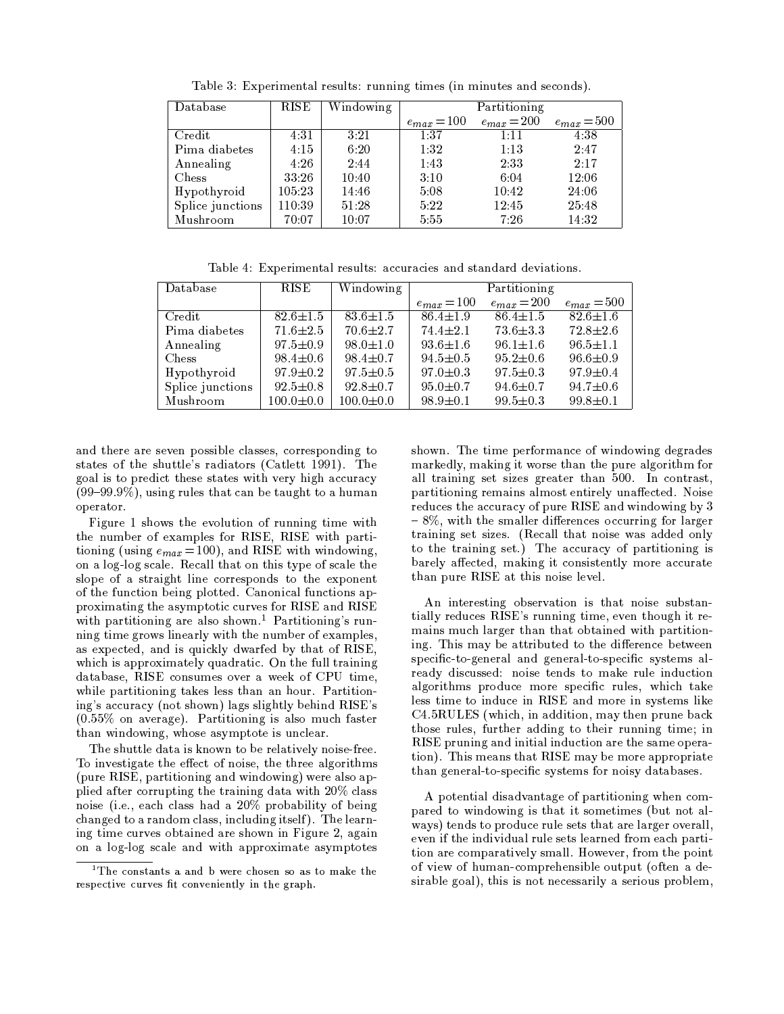| Database                | <b>RISE</b> | Windowing |                 | Partitioning    |                 |
|-------------------------|-------------|-----------|-----------------|-----------------|-----------------|
|                         |             |           | $e_{max} = 100$ | $e_{max} = 200$ | $e_{max} = 500$ |
| $\operatorname{Credit}$ | 4:31        | 3:21      | 1:37            | 1:11            | 4:38            |
| Pima diabetes           | 4:15        | 6:20      | 1:32            | 1:13            | 2:47            |
| Annealing               | 4:26        | 2:44      | 1:43            | 2:33            | 2:17            |
| Chess                   | 33.26       | 10:40     | 3:10            | 6:04            | 12:06           |
| Hypothyroid             | 105.23      | 14:46     | 5:08            | 10:42           | 24:06           |
| Splice junctions        | 110:39      | 51:28     | 5:22            | 12:45           | 25:48           |
| Mushroom                | 70:07       | 10:07     | 5:55            | 7.26            | 14.32           |

Table 3: Experimental results: running times (in minutes and seconds).

Table 4: Experimental results: accuracies and standard deviations.

| Database         | RISE            | Windowing       |                | Partitioning    |                 |
|------------------|-----------------|-----------------|----------------|-----------------|-----------------|
|                  |                 |                 | $e_{max}=100$  | $e_{max} = 200$ | $e_{max} = 500$ |
| Credit           | $82.6 \pm 1.5$  | $83.6 \pm 1.5$  | $86.4 \pm 1.9$ | $86.4 + 1.5$    | $82.6 \pm 1.6$  |
| Pima diabetes    | $71.6 \pm 2.5$  | $70.6 \pm 2.7$  | $74.4 \pm 2.1$ | $73.6 \pm 3.3$  | $72.8 + 2.6$    |
| Annealing        | $97.5 \pm 0.9$  | $98.0 \pm 1.0$  | $93.6 \pm 1.6$ | $96.1 + 1.6$    | $96.5 \pm 1.1$  |
| <b>Chess</b>     | $98.4 \pm 0.6$  | $98.4 \pm 0.7$  | $94.5 \pm 0.5$ | $95.2 + 0.6$    | $96.6 \pm 0.9$  |
| Hypothyroid      | $97.9 \pm 0.2$  | $97.5 \pm 0.5$  | $97.0 \pm 0.3$ | $97.5 \pm 0.3$  | $97.9 \pm 0.4$  |
| Splice junctions | $92.5 \pm 0.8$  | $92.8 \pm 0.7$  | $95.0 \pm 0.7$ | $94.6 \pm 0.7$  | $94.7 \pm 0.6$  |
| Mushroom         | $100.0 \pm 0.0$ | $100.0 \pm 0.0$ | $98.9 \pm 0.1$ | $99.5 \pm 0.3$  | $99.8 \pm 0.1$  |

and there are seven possible classes, corresponding to states of the shuttle's radiators (Catlett 1991). The goal is to predict these states with very high accuracy  $(99-99.9\%)$ , using rules that can be taught to a human operator.

Figure 1 shows the evolution of running time with the number of examples for RISE, RISE with partitioning (using  $e_{max} = 100$ ), and RISE with windowing, on a log-log scale. Recall that on this type of scale the slope of a straight line corresponds to the exponent of the function being plotted. Canonical functions approximating the asymptotic curves for RISE and RISE with partitioning are also shown.<sup>1</sup> Partitioning's running time grows linearly with the number of examples, as expected, and is quickly dwarfed by that of RISE, which is approximately quadratic. On the full training database, RISE consumes over a week of CPU time, while partitioning takes less than an hour. Partitioning's accuracy (not shown) lags slightly behind RISE's  $(0.55\%$  on average). Partitioning is also much faster than windowing, whose asymptote is unclear.

The shuttle data is known to be relatively noise-free. To investigate the effect of noise, the three algorithms (pure RISE, partitioning and windowing) were also applied after corrupting the training data with 20% class noise (i.e., each class had a 20% probability of being changed to a random class, including itself). The learning time curves obtained are shown in Figure 2, again on a log-log scale and with approximate asymptotes

shown. The time performance of windowing degrades markedly, making it worse than the pure algorithm for all training set sizes greater than 500. In contrast, partitioning remains almost entirely unaffected. Noise reduces the accuracy of pure RISE and windowing by 3  $-8\%$ , with the smaller differences occurring for larger training set sizes. (Recall that noise was added only to the training set.) The accuracy of partitioning is barely affected, making it consistently more accurate than pure RISE at this noise level.

An interesting observation is that noise substantially reduces RISE's running time, even though it remains much larger than that obtained with partitioning. This may be attributed to the difference between specific-to-general and general-to-specific systems already discussed: noise tends to make rule induction algorithms produce more specific rules, which take less time to induce in RISE and more in systems like C4.5RULES (which, in addition, may then prune back those rules, further adding to their running time; in RISE pruning and initial induction are the same operation). This means that RISE may be more appropriate than general-to-specific systems for noisy databases.

A potential disadvantage of partitioning when compared to windowing is that it sometimes (but not always) tends to produce rule sets that are larger overall, even if the individual rule sets learned from each partition are comparatively small. However, from the point of view of human-comprehensible output (often a desirable goal), this is not necessarily a serious problem,

<sup>&</sup>lt;sup>1</sup>The constants a and b were chosen so as to make the respective curves fit conveniently in the graph.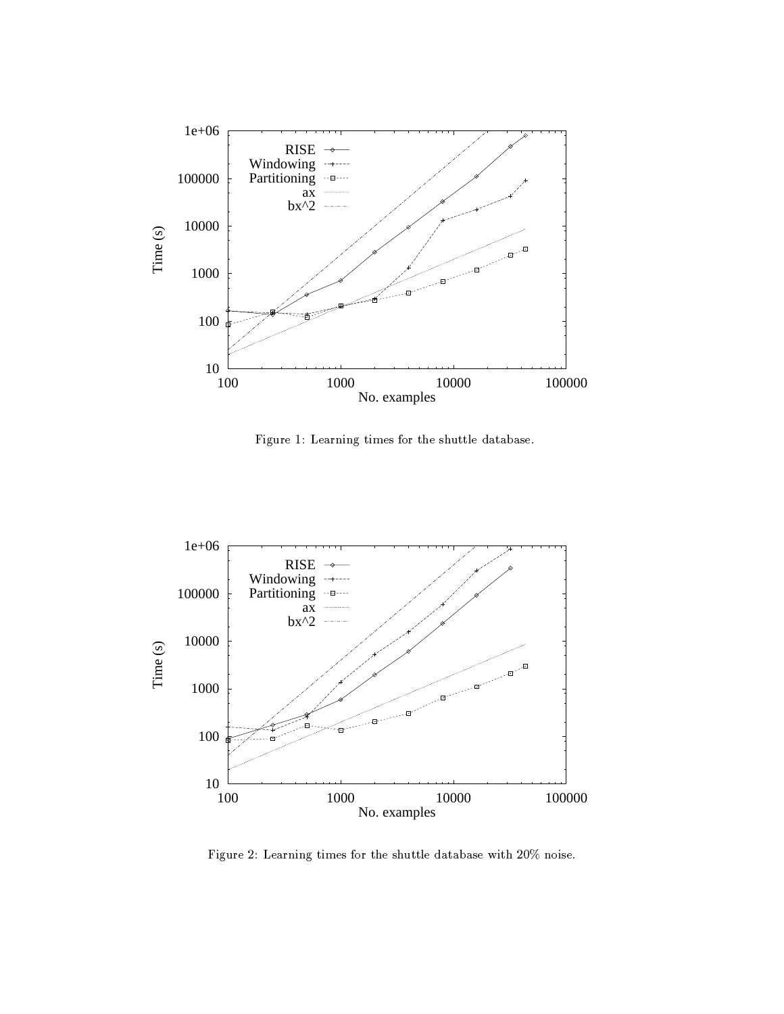

Figure 1: Learning times for the shuttle database.



Figure 2: Learning times for the shuttle database with 20% noise.